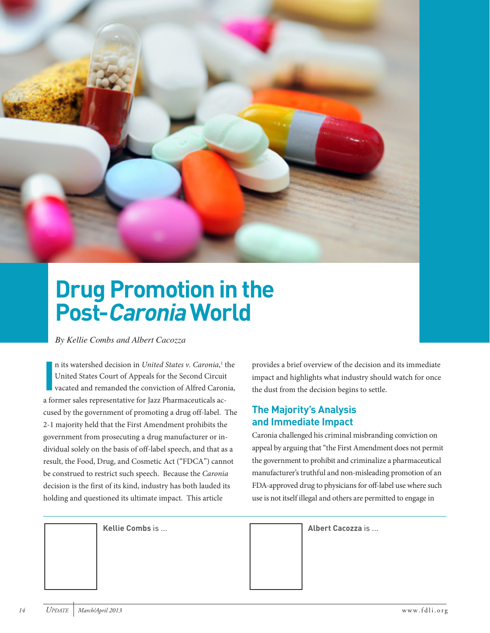

## **Drug Promotion in the Post-Caronia World**

*By Kellie Combs and Albert Cacozza* 

**I** n its watershed decision in *United States v. Caronia*,<sup>1</sup> the United States Court of Appeals for the Second Circuit vacated and remanded the conviction of Alfred Caronia, a former sales representative for Jazz Pharmaceuticals accused by the government of promoting a drug off-label. The 2-1 majority held that the First Amendment prohibits the government from prosecuting a drug manufacturer or individual solely on the basis of off-label speech, and that as a result, the Food, Drug, and Cosmetic Act ("FDCA") cannot be construed to restrict such speech. Because the *Caronia* decision is the first of its kind, industry has both lauded its holding and questioned its ultimate impact. This article

provides a brief overview of the decision and its immediate impact and highlights what industry should watch for once the dust from the decision begins to settle.

## **The Majority's Analysis and Immediate Impact**

Caronia challenged his criminal misbranding conviction on appeal by arguing that "the First Amendment does not permit the government to prohibit and criminalize a pharmaceutical manufacturer's truthful and non-misleading promotion of an FDA-approved drug to physicians for off-label use where such use is not itself illegal and others are permitted to engage in

**Kellie Combs** is ... **Albert Cacozza** is ...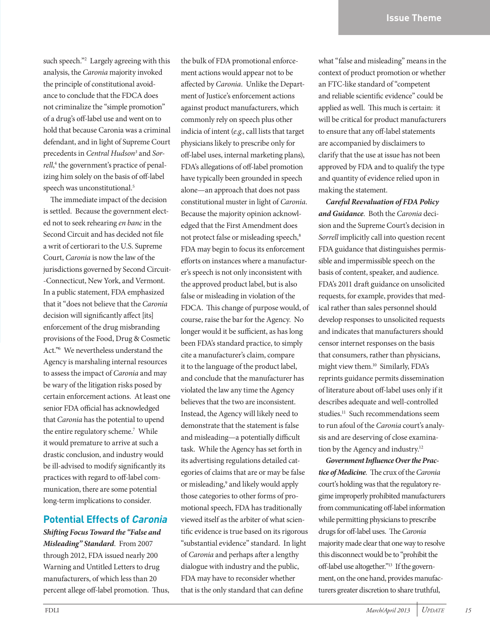such speech."2 Largely agreeing with this analysis, the *Caronia* majority invoked the principle of constitutional avoidance to conclude that the FDCA does not criminalize the "simple promotion" of a drug's off-label use and went on to hold that because Caronia was a criminal defendant, and in light of Supreme Court precedents in *Central Hudson3* and *Sorrell*, 4 the government's practice of penalizing him solely on the basis of off-label speech was unconstitutional.<sup>5</sup>

The immediate impact of the decision is settled. Because the government elected not to seek rehearing *en banc* in the Second Circuit and has decided not file a writ of certiorari to the U.S. Supreme Court, *Caronia* is now the law of the jurisdictions governed by Second Circuit- -Connecticut, New York, and Vermont. In a public statement, FDA emphasized that it "does not believe that the *Caronia* decision will significantly affect [its] enforcement of the drug misbranding provisions of the Food, Drug & Cosmetic Act."6 We nevertheless understand the Agency is marshaling internal resources to assess the impact of *Caronia* and may be wary of the litigation risks posed by certain enforcement actions. At least one senior FDA official has acknowledged that *Caronia* has the potential to upend the entire regulatory scheme.<sup>7</sup> While it would premature to arrive at such a drastic conclusion, and industry would be ill-advised to modify significantly its practices with regard to off-label communication, there are some potential long-term implications to consider.

## **Potential Effects of Caronia**

*Shifting Focus Toward the "False and Misleading" Standard*. From 2007 through 2012, FDA issued nearly 200 Warning and Untitled Letters to drug manufacturers, of which less than 20 percent allege off-label promotion. Thus,

the bulk of FDA promotional enforcement actions would appear not to be affected by *Caronia*. Unlike the Department of Justice's enforcement actions against product manufacturers, which commonly rely on speech plus other indicia of intent (*e.g*., call lists that target physicians likely to prescribe only for off-label uses, internal marketing plans), FDA's allegations of off-label promotion have typically been grounded in speech alone—an approach that does not pass constitutional muster in light of *Caronia*. Because the majority opinion acknowledged that the First Amendment does not protect false or misleading speech,<sup>8</sup> FDA may begin to focus its enforcement efforts on instances where a manufacturer's speech is not only inconsistent with the approved product label, but is also false or misleading in violation of the FDCA. This change of purpose would, of course, raise the bar for the Agency. No longer would it be sufficient, as has long been FDA's standard practice, to simply cite a manufacturer's claim, compare it to the language of the product label, and conclude that the manufacturer has violated the law any time the Agency believes that the two are inconsistent. Instead, the Agency will likely need to demonstrate that the statement is false and misleading—a potentially difficult task. While the Agency has set forth in its advertising regulations detailed categories of claims that are or may be false or misleading,<sup>9</sup> and likely would apply those categories to other forms of promotional speech, FDA has traditionally viewed itself as the arbiter of what scientific evidence is true based on its rigorous "substantial evidence" standard. In light of *Caronia* and perhaps after a lengthy dialogue with industry and the public, FDA may have to reconsider whether that is the only standard that can define

what "false and misleading" means in the context of product promotion or whether an FTC-like standard of "competent and reliable scientific evidence" could be applied as well. This much is certain: it will be critical for product manufacturers to ensure that any off-label statements are accompanied by disclaimers to clarify that the use at issue has not been approved by FDA and to qualify the type and quantity of evidence relied upon in making the statement.

*Careful Reevaluation of FDA Policy and Guidance*. Both the *Caronia* decision and the Supreme Court's decision in *Sorrell* implicitly call into question recent FDA guidance that distinguishes permissible and impermissible speech on the basis of content, speaker, and audience. FDA's 2011 draft guidance on unsolicited requests, for example, provides that medical rather than sales personnel should develop responses to unsolicited requests and indicates that manufacturers should censor internet responses on the basis that consumers, rather than physicians, might view them.10 Similarly, FDA's reprints guidance permits dissemination of literature about off-label uses only if it describes adequate and well-controlled studies.<sup>11</sup> Such recommendations seem to run afoul of the *Caronia* court's analysis and are deserving of close examination by the Agency and industry.12

*Government Influence Over the Practice of Medicine*. The crux of the *Caronia* court's holding was that the regulatory regime improperly prohibited manufacturers from communicating off-label information while permitting physicians to prescribe drugs for off-label uses. The *Caronia* majority made clear that one way to resolve this disconnect would be to "prohibit the off-label use altogether."13 If the government, on the one hand, provides manufacturers greater discretion to share truthful,